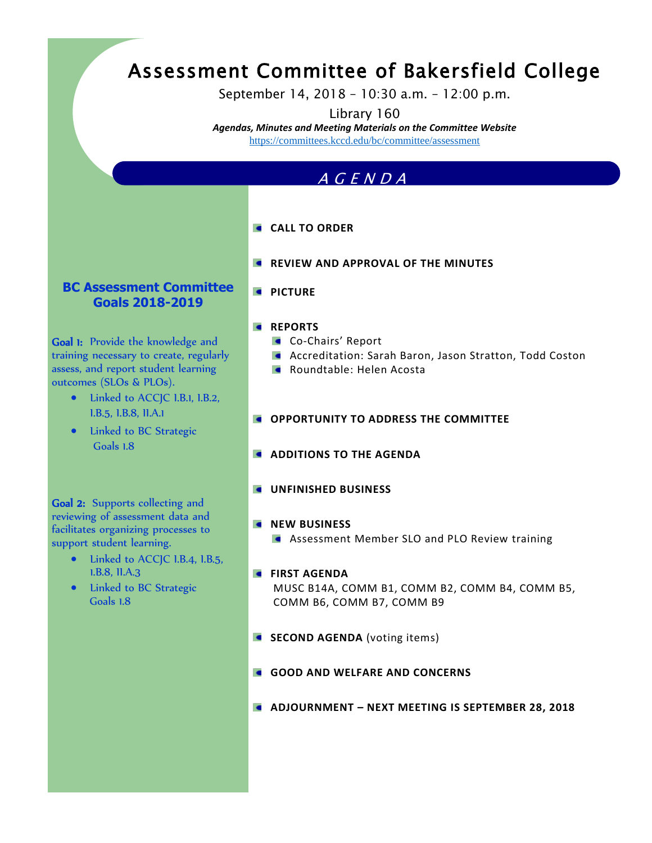# Assessment Committee of Bakersfield College

September 14, 2018 – 10:30 a.m. – 12:00 p.m.

Library 160

*Agendas, Minutes and Meeting Materials on the Committee Website*  https://committees.kccd.edu/bc/committee/assessment

### A G E N D A

- **CALL TO ORDER**
- **REVIEW AND APPROVAL OF THE MINUTES**

#### **BC Assessment Committee Goals 2018-2019**

Goal 1: Provide the knowledge and training necessary to create, regularly assess, and report student learning outcomes (SLOs & PLOs).

- Linked to ACCJC I.B.1, I.B.2, I.B.5, I.B.8, II.A.1
- Linked to BC Strategic Goals 1.8

Goal 2: Supports collecting and reviewing of assessment data and facilitates organizing processes to support student learning.

- Linked to ACCJC I.B.4, I.B.5, 1.B.8, II.A.3
- Linked to BC Strategic Goals 1.8

*<u><b>* PICTURE</u>

#### **REPORTS**

- **Co-Chairs' Report**
- **Accreditation: Sarah Baron, Jason Stratton, Todd Coston**
- **Roundtable: Helen Acosta**
- **OPPORTUNITY TO ADDRESS THE COMMITTEE**
- **ADDITIONS TO THE AGENDA**
- $\bullet$ **UNFINISHED BUSINESS**
- **NEW BUSINESS** 
	- Assessment Member SLO and PLO Review training
- **FIRST AGENDA** MUSC B14A, COMM B1, COMM B2, COMM B4, COMM B5, COMM B6, COMM B7, COMM B9
- **SECOND AGENDA** (voting items)
- **GOOD AND WELFARE AND CONCERNS**
- **ADJOURNMENT – NEXT MEETING IS SEPTEMBER 28, 2018**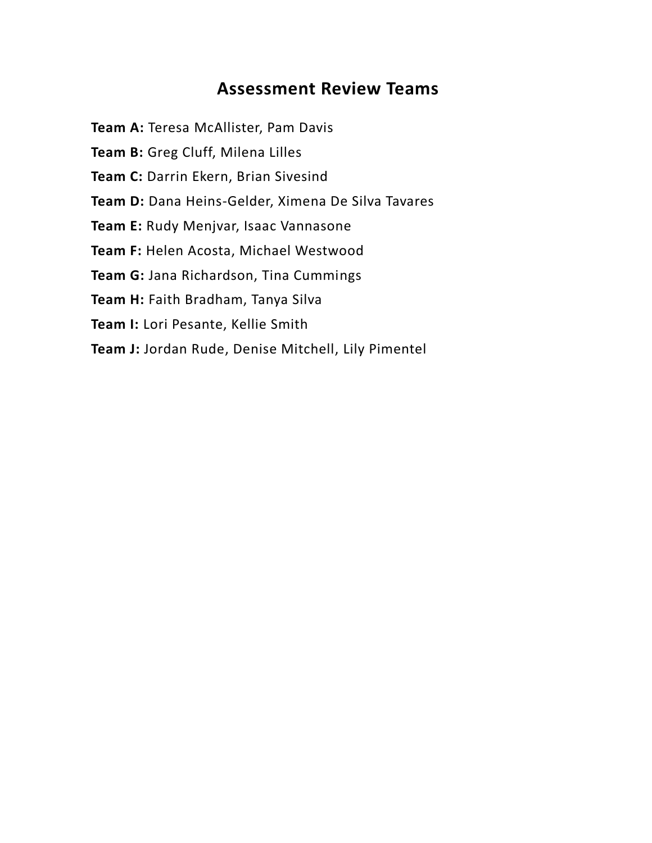# **Assessment Review Teams**

**Team A:** Teresa McAllister, Pam Davis

Team B: Greg Cluff, Milena Lilles

**Team C:** Darrin Ekern, Brian Sivesind

**Team D:** Dana Heins-Gelder, Ximena De Silva Tavares

**Team E:** Rudy Menjvar, Isaac Vannasone

**Team F:** Helen Acosta, Michael Westwood

**Team G:** Jana Richardson, Tina Cummings

**Team H:** Faith Bradham, Tanya Silva

**Team I:** Lori Pesante, Kellie Smith

**Team J:** Jordan Rude, Denise Mitchell, Lily Pimentel